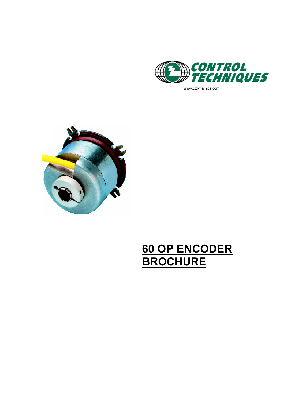

www.ctdynamics.com



# 60 OP ENCODER<br>BROCHURE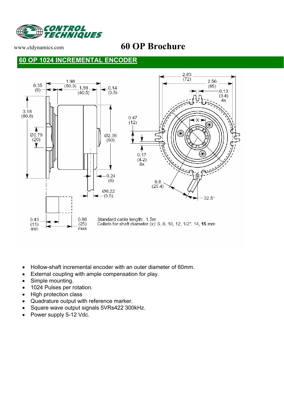

## www.ctdynamics.com **60 OP Brochure**

#### **60 OP 1024 INCREMENTAL ENCODER**



- Hollow-shaft incremental encoder with an outer diameter of 60mm.
- External coupling with ample compensation for play.
- Simple mounting.
- 1024 Pulses per rotation.
- High protection class
- Quadrature output with reference marker.
- Square wave output signals 5VRs422 300kHz.
- Power supply 5-12 Vdc.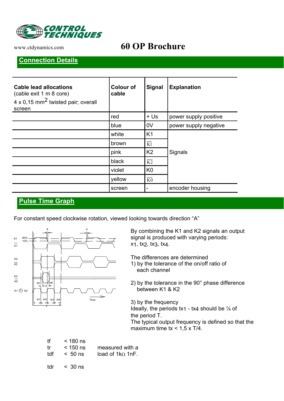

## www.ctdynamics.com **60 OP Brochure**

#### **Connection Details**

| <b>Cable lead allocations</b><br>(cable exit 1 m 8 core)<br>4 x 0,15 mm <sup>2</sup> twisted pair; overall<br>screen | <b>Colour of</b><br>cable | <b>Signal</b>   | <b>Explanation</b>    |  |
|----------------------------------------------------------------------------------------------------------------------|---------------------------|-----------------|-----------------------|--|
|                                                                                                                      | red                       | $+ U$           | power supply positive |  |
|                                                                                                                      | blue                      | 0V              | power supply negative |  |
|                                                                                                                      | white                     | K <sub>1</sub>  | Signals               |  |
|                                                                                                                      | brown                     | K1              |                       |  |
|                                                                                                                      | pink                      | K <sub>2</sub>  |                       |  |
|                                                                                                                      | black                     | $\overline{K2}$ |                       |  |
|                                                                                                                      | violet                    | K <sub>0</sub>  |                       |  |
|                                                                                                                      | yellow                    | $\overline{K0}$ |                       |  |
|                                                                                                                      | screen                    |                 | encoder housing       |  |

#### **Pulse Time Graph**

For constant speed clockwise rotation, viewed looking towards direction "A"



By combining the K1 and K2 signals an output signal is produced with varying periods: x1, tx2, tx3, tx4.

The differences are determined

- 1) by the tolerance of the on/off ratio of each channel
- 2) by the tolerance in the 90° phase difference between K1 & K2

3) by the frequency Ideally, the periods  $tx_1 - tx_4$  should be  $\frac{1}{4}$  of the period T. The typical output frequency is defined so that the maximum time  $tx < 1.5 x T/4$ .

| tf.<br>tr.<br>tdf | $<$ 180 ns<br>$<$ 150 ns<br>$< 50$ ns | measured with a<br>load of $1 \text{k}\Omega$ 1nF. |
|-------------------|---------------------------------------|----------------------------------------------------|
| tdr               | $\leq 30 \text{ ns}$                  |                                                    |